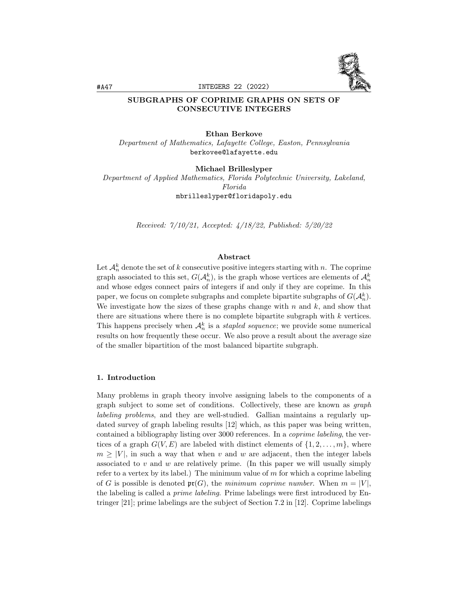

# SUBGRAPHS OF COPRIME GRAPHS ON SETS OF CONSECUTIVE INTEGERS

## Ethan Berkove

Department of Mathematics, Lafayette College, Easton, Pennsylvania berkovee@lafayette.edu

## Michael Brilleslyper

Department of Applied Mathematics, Florida Polytechnic University, Lakeland, Florida mbrilleslyper@floridapoly.edu

Received: 7/10/21, Accepted: 4/18/22, Published: 5/20/22

### Abstract

Let  $\mathcal{A}_n^k$  denote the set of k consecutive positive integers starting with n. The coprime graph associated to this set,  $G(A_n^k)$ , is the graph whose vertices are elements of  $\mathcal{A}_n^k$ and whose edges connect pairs of integers if and only if they are coprime. In this paper, we focus on complete subgraphs and complete bipartite subgraphs of  $G(A_n^k)$ . We investigate how the sizes of these graphs change with  $n$  and  $k$ , and show that there are situations where there is no complete bipartite subgraph with  $k$  vertices. This happens precisely when  $\mathcal{A}_n^k$  is a *stapled sequence*; we provide some numerical results on how frequently these occur. We also prove a result about the average size of the smaller bipartition of the most balanced bipartite subgraph.

## 1. Introduction

Many problems in graph theory involve assigning labels to the components of a graph subject to some set of conditions. Collectively, these are known as graph labeling problems, and they are well-studied. Gallian maintains a regularly updated survey of graph labeling results [12] which, as this paper was being written, contained a bibliography listing over 3000 references. In a coprime labeling, the vertices of a graph  $G(V, E)$  are labeled with distinct elements of  $\{1, 2, \ldots, m\}$ , where  $m \geq |V|$ , in such a way that when v and w are adjacent, then the integer labels associated to  $v$  and  $w$  are relatively prime. (In this paper we will usually simply refer to a vertex by its label.) The minimum value of  $m$  for which a coprime labeling of G is possible is denoted  $\mathfrak{pr}(G)$ , the minimum coprime number. When  $m = |V|$ , the labeling is called a prime labeling. Prime labelings were first introduced by Entringer [21]; prime labelings are the subject of Section 7.2 in [12]. Coprime labelings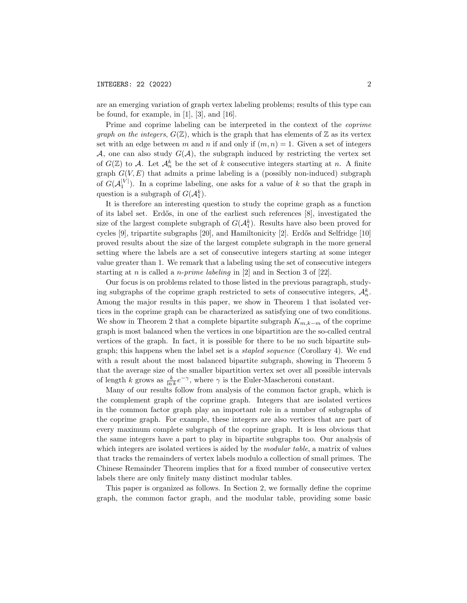are an emerging variation of graph vertex labeling problems; results of this type can be found, for example, in  $[1]$ ,  $[3]$ , and  $[16]$ .

Prime and coprime labeling can be interpreted in the context of the coprime graph on the integers,  $G(\mathbb{Z})$ , which is the graph that has elements of  $\mathbb{Z}$  as its vertex set with an edge between m and n if and only if  $(m, n) = 1$ . Given a set of integers A, one can also study  $G(\mathcal{A})$ , the subgraph induced by restricting the vertex set of  $G(\mathbb{Z})$  to A. Let  $\mathcal{A}_n^k$  be the set of k consecutive integers starting at n. A finite graph  $G(V, E)$  that admits a prime labeling is a (possibly non-induced) subgraph of  $G(A_1^{|V|})$ . In a coprime labeling, one asks for a value of k so that the graph in question is a subgraph of  $G(\mathcal{A}_1^k)$ .

It is therefore an interesting question to study the coprime graph as a function of its label set. Erd˝os, in one of the earliest such references [8], investigated the size of the largest complete subgraph of  $G(A_1^k)$ . Results have also been proved for cycles  $[9]$ , tripartite subgraphs  $[20]$ , and Hamiltonicity  $[2]$ . Erdős and Selfridge  $[10]$ proved results about the size of the largest complete subgraph in the more general setting where the labels are a set of consecutive integers starting at some integer value greater than 1. We remark that a labeling using the set of consecutive integers starting at *n* is called a *n-prime labeling* in  $[2]$  and in Section 3 of  $[22]$ .

Our focus is on problems related to those listed in the previous paragraph, studying subgraphs of the coprime graph restricted to sets of consecutive integers,  $\mathcal{A}_n^k$ . Among the major results in this paper, we show in Theorem 1 that isolated vertices in the coprime graph can be characterized as satisfying one of two conditions. We show in Theorem 2 that a complete bipartite subgraph  $K_{m,k-m}$  of the coprime graph is most balanced when the vertices in one bipartition are the so-called central vertices of the graph. In fact, it is possible for there to be no such bipartite subgraph; this happens when the label set is a stapled sequence (Corollary 4). We end with a result about the most balanced bipartite subgraph, showing in Theorem 5 that the average size of the smaller bipartition vertex set over all possible intervals of length k grows as  $\frac{k}{\ln k}e^{-\gamma}$ , where  $\gamma$  is the Euler-Mascheroni constant.

Many of our results follow from analysis of the common factor graph, which is the complement graph of the coprime graph. Integers that are isolated vertices in the common factor graph play an important role in a number of subgraphs of the coprime graph. For example, these integers are also vertices that are part of every maximum complete subgraph of the coprime graph. It is less obvious that the same integers have a part to play in bipartite subgraphs too. Our analysis of which integers are isolated vertices is aided by the *modular table*, a matrix of values that tracks the remainders of vertex labels modulo a collection of small primes. The Chinese Remainder Theorem implies that for a fixed number of consecutive vertex labels there are only finitely many distinct modular tables.

This paper is organized as follows. In Section 2, we formally define the coprime graph, the common factor graph, and the modular table, providing some basic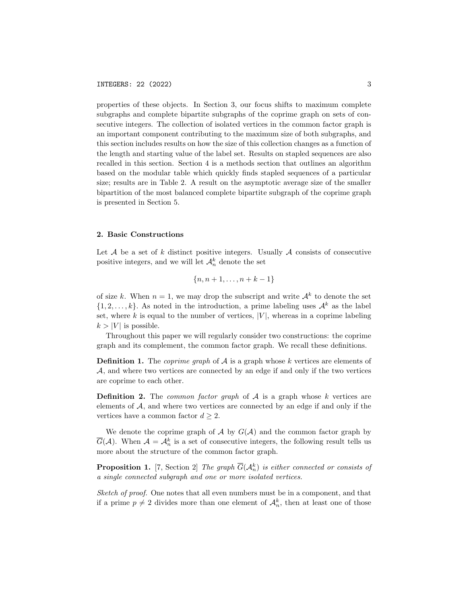properties of these objects. In Section 3, our focus shifts to maximum complete subgraphs and complete bipartite subgraphs of the coprime graph on sets of consecutive integers. The collection of isolated vertices in the common factor graph is an important component contributing to the maximum size of both subgraphs, and this section includes results on how the size of this collection changes as a function of the length and starting value of the label set. Results on stapled sequences are also recalled in this section. Section 4 is a methods section that outlines an algorithm based on the modular table which quickly finds stapled sequences of a particular size; results are in Table 2. A result on the asymptotic average size of the smaller bipartition of the most balanced complete bipartite subgraph of the coprime graph is presented in Section 5.

## 2. Basic Constructions

Let  $A$  be a set of k distinct positive integers. Usually  $A$  consists of consecutive positive integers, and we will let  $\mathcal{A}_n^k$  denote the set

$$
\{n, n+1, \ldots, n+k-1\}
$$

of size k. When  $n = 1$ , we may drop the subscript and write  $\mathcal{A}^k$  to denote the set  $\{1, 2, \ldots, k\}$ . As noted in the introduction, a prime labeling uses  $\mathcal{A}^k$  as the label set, where k is equal to the number of vertices,  $|V|$ , whereas in a coprime labeling  $k > |V|$  is possible.

Throughout this paper we will regularly consider two constructions: the coprime graph and its complement, the common factor graph. We recall these definitions.

**Definition 1.** The *coprime graph* of  $A$  is a graph whose k vertices are elements of A, and where two vertices are connected by an edge if and only if the two vertices are coprime to each other.

**Definition 2.** The *common factor graph* of  $A$  is a graph whose k vertices are elements of  $A$ , and where two vertices are connected by an edge if and only if the vertices have a common factor  $d \geq 2$ .

We denote the coprime graph of  $A$  by  $G(A)$  and the common factor graph by  $\overline{G}(\mathcal{A})$ . When  $\mathcal{A} = \mathcal{A}_n^k$  is a set of consecutive integers, the following result tells us more about the structure of the common factor graph.

**Proposition 1.** [7, Section 2] The graph  $\overline{G}(\mathcal{A}_n^k)$  is either connected or consists of a single connected subgraph and one or more isolated vertices.

Sketch of proof. One notes that all even numbers must be in a component, and that if a prime  $p \neq 2$  divides more than one element of  $\mathcal{A}_n^k$ , then at least one of those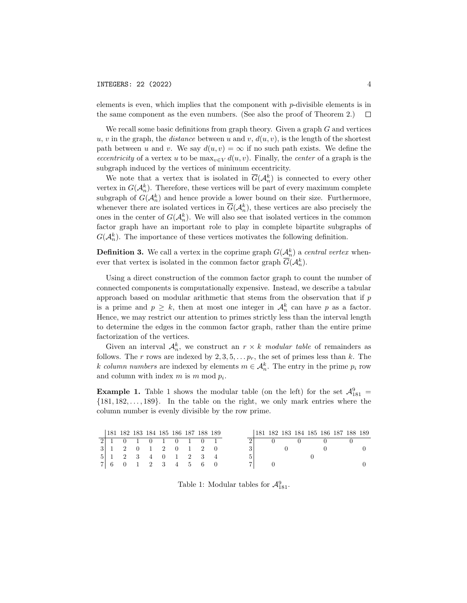elements is even, which implies that the component with  $p$ -divisible elements is in the same component as the even numbers. (See also the proof of Theorem 2.)  $\Box$ 

We recall some basic definitions from graph theory. Given a graph  $G$  and vertices u, v in the graph, the distance between u and v,  $d(u, v)$ , is the length of the shortest path between u and v. We say  $d(u, v) = \infty$  if no such path exists. We define the eccentricity of a vertex u to be  $\max_{v \in V} d(u, v)$ . Finally, the center of a graph is the subgraph induced by the vertices of minimum eccentricity.

We note that a vertex that is isolated in  $\overline{G}(\mathcal{A}_n^k)$  is connected to every other vertex in  $G(\mathcal{A}_n^k)$ . Therefore, these vertices will be part of every maximum complete subgraph of  $G(\mathcal{A}_n^k)$  and hence provide a lower bound on their size. Furthermore, whenever there are isolated vertices in  $\overline{G}(\mathcal{A}_n^k)$ , these vertices are also precisely the ones in the center of  $G(\mathcal{A}_n^k)$ . We will also see that isolated vertices in the common factor graph have an important role to play in complete bipartite subgraphs of  $G(\mathcal{A}_n^k)$ . The importance of these vertices motivates the following definition.

**Definition 3.** We call a vertex in the coprime graph  $G(A_n^k)$  a central vertex whenever that vertex is isolated in the common factor graph  $\overline{G}(\mathcal{A}_n^k)$ .

Using a direct construction of the common factor graph to count the number of connected components is computationally expensive. Instead, we describe a tabular approach based on modular arithmetic that stems from the observation that if  $p$ is a prime and  $p \geq k$ , then at most one integer in  $\mathcal{A}_n^k$  can have p as a factor. Hence, we may restrict our attention to primes strictly less than the interval length to determine the edges in the common factor graph, rather than the entire prime factorization of the vertices.

Given an interval  $A_n^k$ , we construct an  $r \times k$  modular table of remainders as follows. The r rows are indexed by  $2, 3, 5, \ldots p_r$ , the set of primes less than k. The k column numbers are indexed by elements  $m \in \mathcal{A}_n^k$ . The entry in the prime  $p_i$  row and column with index  $m$  is  $m \mod p_i$ .

**Example 1.** Table 1 shows the modular table (on the left) for the set  $\mathcal{A}_{181}^9$  =  $\{181, 182, \ldots, 189\}$ . In the table on the right, we only mark entries where the column number is evenly divisible by the row prime.

|  | 181 182 183 184 185 186 187 188 189 |  |  |  |  | 181 182 183 184 185 186 187 188 189 |  |  |  |  |
|--|-------------------------------------|--|--|--|--|-------------------------------------|--|--|--|--|
|  | 2 1 0 1 0 1 0 1 0 1                 |  |  |  |  |                                     |  |  |  |  |
|  | 3 1 2 0 1 2 0 1 2 0                 |  |  |  |  |                                     |  |  |  |  |
|  | 5 1 2 3 4 0 1 2 3 4                 |  |  |  |  |                                     |  |  |  |  |
|  | 7 6 0 1 2 3 4 5 6 0                 |  |  |  |  |                                     |  |  |  |  |

Table 1: Modular tables for  $\mathcal{A}_{181}^9$ .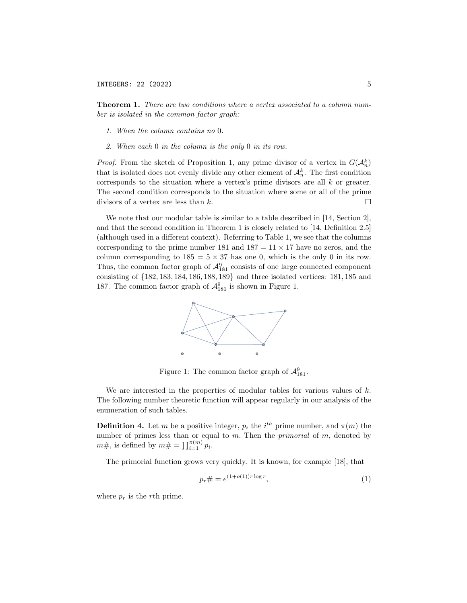Theorem 1. There are two conditions where a vertex associated to a column number is isolated in the common factor graph:

- 1. When the column contains no 0.
- 2. When each 0 in the column is the only 0 in its row.

*Proof.* From the sketch of Proposition 1, any prime divisor of a vertex in  $\overline{G}(\mathcal{A}_n^k)$ that is isolated does not evenly divide any other element of  $\mathcal{A}_n^k$ . The first condition corresponds to the situation where a vertex's prime divisors are all  $k$  or greater. The second condition corresponds to the situation where some or all of the prime divisors of a vertex are less than k.  $\Box$ 

We note that our modular table is similar to a table described in [14, Section 2], and that the second condition in Theorem 1 is closely related to [14, Definition 2.5] (although used in a different context). Referring to Table 1, we see that the columns corresponding to the prime number 181 and  $187 = 11 \times 17$  have no zeros, and the column corresponding to  $185 = 5 \times 37$  has one 0, which is the only 0 in its row. Thus, the common factor graph of  $\mathcal{A}_{181}^9$  consists of one large connected component consisting of {182, 183, 184, 186, 188, 189} and three isolated vertices: 181, 185 and 187. The common factor graph of  $\mathcal{A}_{181}^9$  is shown in Figure 1.



Figure 1: The common factor graph of  $\mathcal{A}_{181}^9$ .

We are interested in the properties of modular tables for various values of  $k$ . The following number theoretic function will appear regularly in our analysis of the enumeration of such tables.

**Definition 4.** Let m be a positive integer,  $p_i$  the  $i^{th}$  prime number, and  $\pi(m)$  the number of primes less than or equal to  $m$ . Then the *primorial* of  $m$ , denoted by  $m\#$ , is defined by  $m\# = \prod_{i=1}^{\pi(m)} p_i$ .

The primorial function grows very quickly. It is known, for example [18], that

$$
p_r \# = e^{(1+o(1))r \log r}, \tag{1}
$$

where  $p_r$  is the rth prime.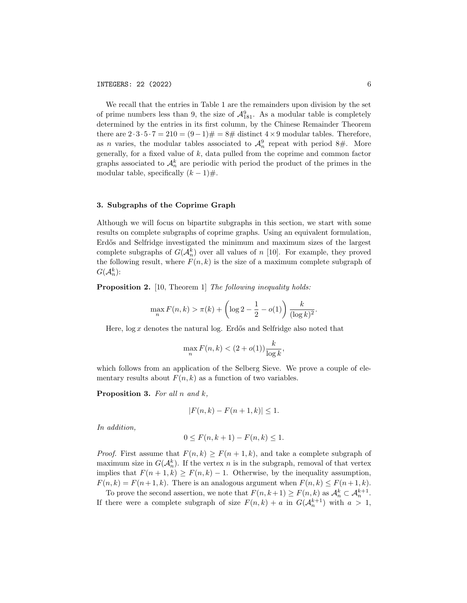We recall that the entries in Table 1 are the remainders upon division by the set of prime numbers less than 9, the size of  $\mathcal{A}_{181}^9$ . As a modular table is completely determined by the entries in its first column, by the Chinese Remainder Theorem there are  $2 \cdot 3 \cdot 5 \cdot 7 = 210 = (9-1) \# = 8 \#$  distinct  $4 \times 9$  modular tables. Therefore, as *n* varies, the modular tables associated to  $\mathcal{A}_n^9$  repeat with period 8#. More generally, for a fixed value of  $k$ , data pulled from the coprime and common factor graphs associated to  $\mathcal{A}_n^k$  are periodic with period the product of the primes in the modular table, specifically  $(k-1)\#$ .

## 3. Subgraphs of the Coprime Graph

Although we will focus on bipartite subgraphs in this section, we start with some results on complete subgraphs of coprime graphs. Using an equivalent formulation, Erdős and Selfridge investigated the minimum and maximum sizes of the largest complete subgraphs of  $G(\mathcal{A}_n^k)$  over all values of n [10]. For example, they proved the following result, where  $F(n, k)$  is the size of a maximum complete subgraph of  $G(\mathcal{A}_n^k)$ :

**Proposition 2.** [10, Theorem 1] The following inequality holds:

$$
\max_{n} F(n,k) > \pi(k) + \left(\log 2 - \frac{1}{2} - o(1)\right) \frac{k}{(\log k)^2}.
$$

Here,  $\log x$  denotes the natural log. Erdős and Selfridge also noted that

$$
\max_n F(n,k) < (2+o(1))\frac{k}{\log k},
$$

which follows from an application of the Selberg Sieve. We prove a couple of elementary results about  $F(n, k)$  as a function of two variables.

**Proposition 3.** For all  $n$  and  $k$ ,

$$
|F(n,k) - F(n+1,k)| \le 1.
$$

In addition,

$$
0 \le F(n, k+1) - F(n, k) \le 1.
$$

*Proof.* First assume that  $F(n, k) \geq F(n + 1, k)$ , and take a complete subgraph of maximum size in  $G(\mathcal{A}_n^k)$ . If the vertex n is in the subgraph, removal of that vertex implies that  $F(n + 1, k) \geq F(n, k) - 1$ . Otherwise, by the inequality assumption,  $F(n, k) = F(n+1, k)$ . There is an analogous argument when  $F(n, k) \leq F(n+1, k)$ .

To prove the second assertion, we note that  $F(n, k+1) \ge F(n, k)$  as  $\mathcal{A}_n^k \subset \mathcal{A}_n^{k+1}$ . If there were a complete subgraph of size  $F(n,k) + a$  in  $G(\mathcal{A}_n^{k+1})$  with  $a > 1$ ,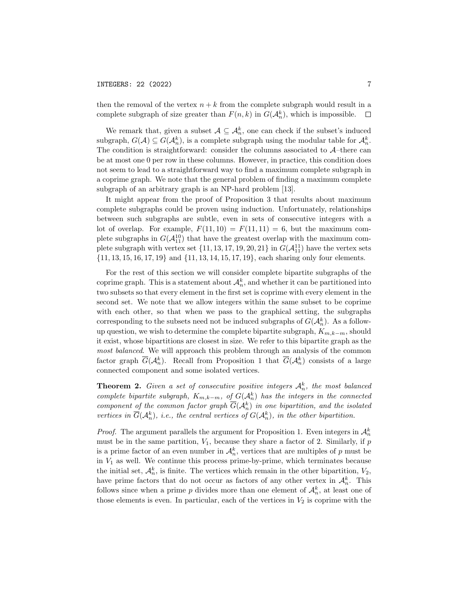## INTEGERS: 22 (2022) 7

then the removal of the vertex  $n + k$  from the complete subgraph would result in a complete subgraph of size greater than  $F(n, k)$  in  $G(A_n^k)$ , which is impossible.  $\Box$ 

We remark that, given a subset  $A \subseteq \mathcal{A}_n^k$ , one can check if the subset's induced subgraph,  $G(\mathcal{A}) \subseteq G(\mathcal{A}_n^k)$ , is a complete subgraph using the modular table for  $\mathcal{A}_n^k$ . The condition is straightforward: consider the columns associated to  $\mathcal{A}-$ there can be at most one 0 per row in these columns. However, in practice, this condition does not seem to lead to a straightforward way to find a maximum complete subgraph in a coprime graph. We note that the general problem of finding a maximum complete subgraph of an arbitrary graph is an NP-hard problem [13].

It might appear from the proof of Proposition 3 that results about maximum complete subgraphs could be proven using induction. Unfortunately, relationships between such subgraphs are subtle, even in sets of consecutive integers with a lot of overlap. For example,  $F(11, 10) = F(11, 11) = 6$ , but the maximum complete subgraphs in  $G(\mathcal{A}_{11}^{10})$  that have the greatest overlap with the maximum complete subgraph with vertex set  $\{11, 13, 17, 19, 20, 21\}$  in  $G(\mathcal{A}_{11}^{11})$  have the vertex sets {11, 13, 15, 16, 17, 19} and {11, 13, 14, 15, 17, 19}, each sharing only four elements.

For the rest of this section we will consider complete bipartite subgraphs of the coprime graph. This is a statement about  $\mathcal{A}_n^k$ , and whether it can be partitioned into two subsets so that every element in the first set is coprime with every element in the second set. We note that we allow integers within the same subset to be coprime with each other, so that when we pass to the graphical setting, the subgraphs corresponding to the subsets need not be induced subgraphs of  $G(A_n^k)$ . As a followup question, we wish to determine the complete bipartite subgraph,  $K_{m,k-m}$ , should it exist, whose bipartitions are closest in size. We refer to this bipartite graph as the most balanced. We will approach this problem through an analysis of the common factor graph  $\overline{G}(\mathcal{A}_n^k)$ . Recall from Proposition 1 that  $\overline{G}(\mathcal{A}_n^k)$  consists of a large connected component and some isolated vertices.

**Theorem 2.** Given a set of consecutive positive integers  $\mathcal{A}_n^k$ , the most balanced complete bipartite subgraph,  $K_{m,k-m}$ , of  $G(A_n^k)$  has the integers in the connected component of the common factor graph  $\overline{G}(\mathcal{A}_n^k)$  in one bipartition, and the isolated vertices in  $\overline{G}(\mathcal{A}_n^k)$ , i.e., the central vertices of  $G(\mathcal{A}_n^k)$ , in the other bipartition.

*Proof.* The argument parallels the argument for Proposition 1. Even integers in  $\mathcal{A}_n^k$ must be in the same partition,  $V_1$ , because they share a factor of 2. Similarly, if p is a prime factor of an even number in  $\mathcal{A}_n^k$ , vertices that are multiples of p must be in  $V_1$  as well. We continue this process prime-by-prime, which terminates because the initial set,  $\mathcal{A}_n^k$ , is finite. The vertices which remain in the other bipartition,  $V_2$ , have prime factors that do not occur as factors of any other vertex in  $\mathcal{A}_n^k$ . This follows since when a prime p divides more than one element of  $\mathcal{A}_n^k$ , at least one of those elements is even. In particular, each of the vertices in  $V_2$  is coprime with the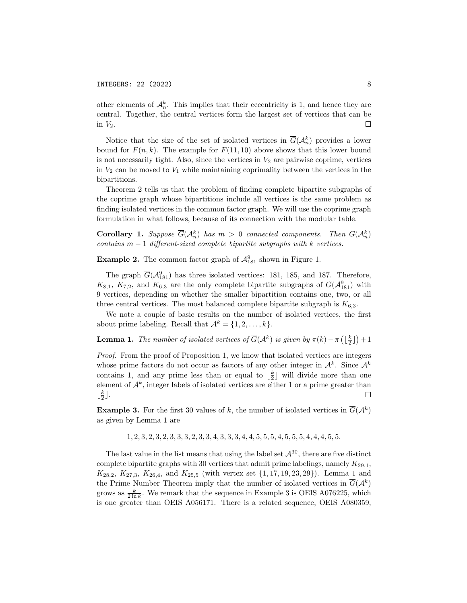other elements of  $\mathcal{A}_n^k$ . This implies that their eccentricity is 1, and hence they are central. Together, the central vertices form the largest set of vertices that can be in  $V_2$ .  $\Box$ 

Notice that the size of the set of isolated vertices in  $\overline{G}(\mathcal{A}_n^k)$  provides a lower bound for  $F(n, k)$ . The example for  $F(11, 10)$  above shows that this lower bound is not necessarily tight. Also, since the vertices in  $V_2$  are pairwise coprime, vertices in  $V_2$  can be moved to  $V_1$  while maintaining coprimality between the vertices in the bipartitions.

Theorem 2 tells us that the problem of finding complete bipartite subgraphs of the coprime graph whose bipartitions include all vertices is the same problem as finding isolated vertices in the common factor graph. We will use the coprime graph formulation in what follows, because of its connection with the modular table.

**Corollary 1.** Suppose  $\overline{G}(\mathcal{A}_n^k)$  has  $m > 0$  connected components. Then  $G(\mathcal{A}_n^k)$ contains  $m-1$  different-sized complete bipartite subgraphs with k vertices.

**Example 2.** The common factor graph of  $\mathcal{A}_{181}^9$  shown in Figure 1.

The graph  $\overline{G}(\mathcal{A}_{181}^9)$  has three isolated vertices: 181, 185, and 187. Therefore,  $K_{8,1}$ ,  $K_{7,2}$ , and  $K_{6,3}$  are the only complete bipartite subgraphs of  $G(\mathcal{A}_{181}^9)$  with 9 vertices, depending on whether the smaller bipartition contains one, two, or all three central vertices. The most balanced complete bipartite subgraph is  $K_{6,3}$ .

We note a couple of basic results on the number of isolated vertices, the first about prime labeling. Recall that  $\mathcal{A}^k = \{1, 2, ..., k\}.$ 

**Lemma 1.** The number of isolated vertices of  $\overline{G}(\mathcal{A}^k)$  is given by  $\pi(k) - \pi\left(\lfloor \frac{k}{2} \rfloor\right) + 1$ 

Proof. From the proof of Proposition 1, we know that isolated vertices are integers whose prime factors do not occur as factors of any other integer in  $\mathcal{A}^k$ . Since  $\mathcal{A}^k$ contains 1, and any prime less than or equal to  $\lfloor \frac{k}{2} \rfloor$  will divide more than one element of  $\mathcal{A}^k$ , integer labels of isolated vertices are either 1 or a prime greater than  $\lfloor \frac{k}{2} \rfloor$ .  $\Box$ 

**Example 3.** For the first 30 values of k, the number of isolated vertices in  $\overline{G}(\mathcal{A}^k)$ as given by Lemma 1 are

1, 2, 3, 2, 3, 2, 3, 3, 3, 2, 3, 3, 4, 3, 3, 3, 4, 4, 5, 5, 5, 4, 5, 5, 5, 4, 4, 4, 5, 5.

The last value in the list means that using the label set  $\mathcal{A}^{30}$ , there are five distinct complete bipartite graphs with 30 vertices that admit prime labelings, namely  $K_{29,1}$ ,  $K_{28,2}, K_{27,3}, K_{26,4}$ , and  $K_{25,5}$  (with vertex set  $\{1, 17, 19, 23, 29\}$ ). Lemma 1 and the Prime Number Theorem imply that the number of isolated vertices in  $\overline{G}(\mathcal{A}^k)$ grows as  $\frac{k}{2 \ln k}$ . We remark that the sequence in Example 3 is OEIS A076225, which is one greater than OEIS A056171. There is a related sequence, OEIS A080359,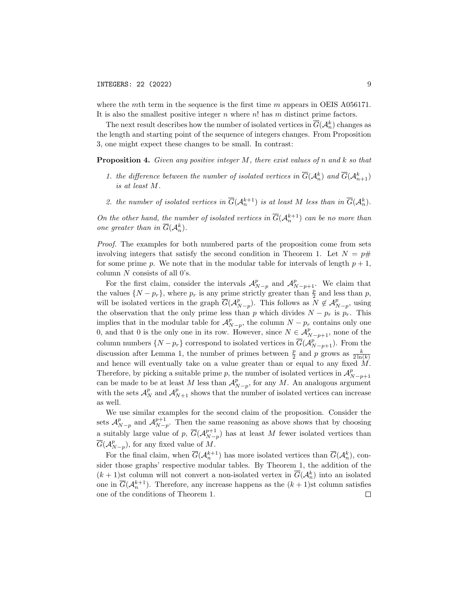where the mth term in the sequence is the first time  $m$  appears in OEIS A056171. It is also the smallest positive integer  $n$  where  $n!$  has  $m$  distinct prime factors.

The next result describes how the number of isolated vertices in  $\overline{G}(\mathcal{A}_n^k)$  changes as the length and starting point of the sequence of integers changes. From Proposition 3, one might expect these changes to be small. In contrast:

**Proposition 4.** Given any positive integer  $M$ , there exist values of  $n$  and  $k$  so that

- 1. the difference between the number of isolated vertices in  $\overline{G}(\mathcal{A}_n^k)$  and  $\overline{G}(\mathcal{A}_{n+1}^k)$ is at least M.
- 2. the number of isolated vertices in  $\overline{G}(\mathcal{A}_n^{k+1})$  is at least M less than in  $\overline{G}(\mathcal{A}_n^k)$ .

On the other hand, the number of isolated vertices in  $\overline{G}(\mathcal{A}_n^{k+1})$  can be no more than one greater than in  $\overline{G}(\mathcal{A}_n^k)$ .

Proof. The examples for both numbered parts of the proposition come from sets involving integers that satisfy the second condition in Theorem 1. Let  $N = p#$ for some prime p. We note that in the modular table for intervals of length  $p + 1$ , column  $N$  consists of all  $0$ 's.

For the first claim, consider the intervals  $\mathcal{A}_{N-p}^p$  and  $\mathcal{A}_{N-p+1}^p$ . We claim that the values  $\{N-p_r\}$ , where  $p_r$  is any prime strictly greater than  $\frac{p}{2}$  and less than p, will be isolated vertices in the graph  $\overline{G}(\mathcal{A}_{N-p}^p)$ . This follows as  $N \notin \mathcal{A}_{N-p}^p$ , using the observation that the only prime less than p which divides  $N - p_r$  is  $p_r$ . This implies that in the modular table for  $\mathcal{A}_{N-p}^p$ , the column  $N - p_r$  contains only one 0, and that 0 is the only one in its row. However, since  $N \in \mathcal{A}_{N-p+1}^p$ , none of the column numbers  $\{N-p_r\}$  correspond to isolated vertices in  $\overline{G}(\mathcal{A}_{N-p+1}^p)$ . From the discussion after Lemma 1, the number of primes between  $\frac{p}{2}$  and p grows as  $\frac{k}{2\ln(k)}$ and hence will eventually take on a value greater than or equal to any fixed  $\dot{M}$ . Therefore, by picking a suitable prime p, the number of isolated vertices in  $\mathcal{A}_{N-p+1}^p$ can be made to be at least M less than  $\mathcal{A}_{N-p}^p$ , for any M. An analogous argument with the sets  $\mathcal{A}_{N}^{p}$  and  $\mathcal{A}_{N+1}^{p}$  shows that the number of isolated vertices can increase as well.

We use similar examples for the second claim of the proposition. Consider the sets  $\mathcal{A}_{N-p}^p$  and  $\mathcal{A}_{N-p}^{p+1}$ . Then the same reasoning as above shows that by choosing a suitably large value of p,  $\overline{G}(\mathcal{A}_{N-p}^{p+1})$  has at least M fewer isolated vertices than  $\overline{G}(\mathcal{A}_{N-p}^p)$ , for any fixed value of M.

For the final claim, when  $\overline{G}(\mathcal{A}_n^{k+1})$  has more isolated vertices than  $\overline{G}(\mathcal{A}_n^k)$ , consider those graphs' respective modular tables. By Theorem 1, the addition of the  $(k+1)$ st column will not convert a non-isolated vertex in  $\overline{G}(\mathcal{A}_n^k)$  into an isolated one in  $\overline{G}(\mathcal{A}_n^{k+1})$ . Therefore, any increase happens as the  $(k+1)$ st column satisfies one of the conditions of Theorem 1. $\Box$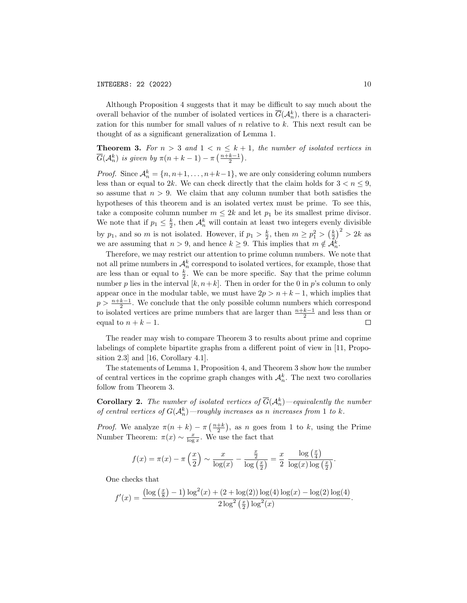Although Proposition 4 suggests that it may be difficult to say much about the overall behavior of the number of isolated vertices in  $\overline{G}(\mathcal{A}_n^k)$ , there is a characterization for this number for small values of n relative to k. This next result can be thought of as a significant generalization of Lemma 1.

# **Theorem 3.** For  $n > 3$  and  $1 < n \leq k + 1$ , the number of isolated vertices in  $\overline{G}(\mathcal{A}_n^k)$  is given by  $\pi(n+k-1)-\pi\left(\frac{n+k-1}{2}\right)$ .

*Proof.* Since  $\mathcal{A}_n^k = \{n, n+1, \ldots, n+k-1\}$ , we are only considering column numbers less than or equal to 2k. We can check directly that the claim holds for  $3 < n \leq 9$ , so assume that  $n > 9$ . We claim that any column number that both satisfies the hypotheses of this theorem and is an isolated vertex must be prime. To see this, take a composite column number  $m \leq 2k$  and let  $p_1$  be its smallest prime divisor. We note that if  $p_1 \leq \frac{k}{2}$ , then  $\mathcal{A}_n^k$  will contain at least two integers evenly divisible by  $p_1$ , and so m is not isolated. However, if  $p_1 > \frac{k}{2}$ , then  $m \ge p_1^2 > (\frac{k}{2})^2 > 2k$  as we are assuming that  $n > 9$ , and hence  $k \geq 9$ . This implies that  $m \notin \mathcal{A}_n^k$ .

Therefore, we may restrict our attention to prime column numbers. We note that not all prime numbers in  $\mathcal{A}_n^k$  correspond to isolated vertices, for example, those that are less than or equal to  $\frac{k}{2}$ . We can be more specific. Say that the prime column number p lies in the interval  $[k, n+k]$ . Then in order for the 0 in p's column to only appear once in the modular table, we must have  $2p > n + k - 1$ , which implies that  $p > \frac{n+k-1}{2}$ . We conclude that the only possible column numbers which correspond to isolated vertices are prime numbers that are larger than  $\frac{n+k-1}{2}$  and less than or equal to  $n + k - 1$ .  $\Box$ 

The reader may wish to compare Theorem 3 to results about prime and coprime labelings of complete bipartite graphs from a different point of view in [11, Proposition 2.3] and [16, Corollary 4.1].

The statements of Lemma 1, Proposition 4, and Theorem 3 show how the number of central vertices in the coprime graph changes with  $\mathcal{A}_n^k$ . The next two corollaries follow from Theorem 3.

**Corollary 2.** The number of isolated vertices of  $\overline{G}(\mathcal{A}_n^k)$  —equivalently the number of central vertices of  $G(A_n^k)$ —roughly increases as n increases from 1 to k.

*Proof.* We analyze  $\pi(n+k) - \pi\left(\frac{n+k}{2}\right)$ , as n goes from 1 to k, using the Prime Number Theorem:  $\pi(x) \sim \frac{x}{\log x}$ . We use the fact that

$$
f(x) = \pi(x) - \pi\left(\frac{x}{2}\right) \sim \frac{x}{\log(x)} - \frac{\frac{x}{2}}{\log\left(\frac{x}{2}\right)} = \frac{x}{2} - \frac{\log\left(\frac{x}{4}\right)}{\log(x)\log\left(\frac{x}{2}\right)}.
$$

One checks that

$$
f'(x) = \frac{\left(\log\left(\frac{x}{8}\right) - 1\right)\log^2(x) + (2 + \log(2))\log(4)\log(x) - \log(2)\log(4)}{2\log^2\left(\frac{x}{2}\right)\log^2(x)}.
$$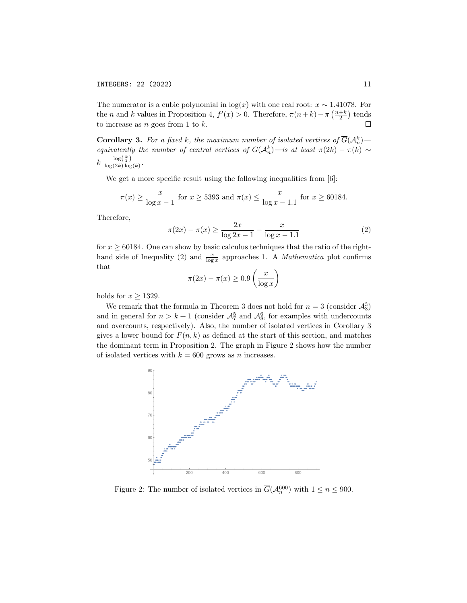The numerator is a cubic polynomial in  $log(x)$  with one real root:  $x \sim 1.41078$ . For the *n* and *k* values in Proposition 4,  $f'(x) > 0$ . Therefore,  $\pi(n+k) - \pi\left(\frac{n+k}{2}\right)$  tends to increase as  $n$  goes from 1 to  $k$ .  $\Box$ 

**Corollary 3.** For a fixed k, the maximum number of isolated vertices of  $\overline{G}(\mathcal{A}_n^k)$ equivalently the number of central vertices of  $G(A_n^k)$ —is at least  $\pi(2k) - \pi(k) \sim$  $k \frac{\log(\frac{k}{2})}{\log(2k) \log(k)}$ .

We get a more specific result using the following inequalities from [6]:

$$
\pi(x) \ge \frac{x}{\log x - 1}
$$
 for  $x \ge 5393$  and  $\pi(x) \le \frac{x}{\log x - 1.1}$  for  $x \ge 60184$ .

Therefore,

$$
\pi(2x) - \pi(x) \ge \frac{2x}{\log 2x - 1} - \frac{x}{\log x - 1.1}
$$
 (2)

for  $x \geq 60184$ . One can show by basic calculus techniques that the ratio of the righthand side of Inequality (2) and  $\frac{x}{\log x}$  approaches 1. A *Mathematica* plot confirms that

$$
\pi(2x) - \pi(x) \ge 0.9\left(\frac{x}{\log x}\right)
$$

holds for  $x \ge 1329$ .

We remark that the formula in Theorem 3 does not hold for  $n = 3$  (consider  $\mathcal{A}_3^3$ ) and in general for  $n > k + 1$  (consider  $\mathcal{A}_{7}^{5}$  and  $\mathcal{A}_{8}^{6}$ , for examples with undercounts and overcounts, respectively). Also, the number of isolated vertices in Corollary 3 gives a lower bound for  $F(n, k)$  as defined at the start of this section, and matches the dominant term in Proposition 2. The graph in Figure 2 shows how the number of isolated vertices with  $k = 600$  grows as *n* increases.



Figure 2: The number of isolated vertices in  $\overline{G}(\mathcal{A}_n^{600})$  with  $1 \le n \le 900$ .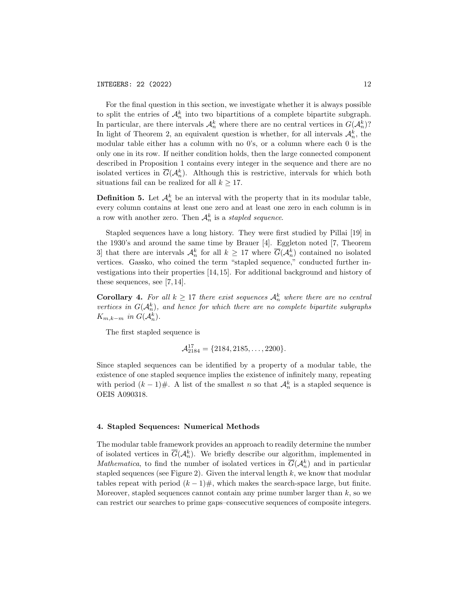For the final question in this section, we investigate whether it is always possible to split the entries of  $\mathcal{A}_n^k$  into two bipartitions of a complete bipartite subgraph. In particular, are there intervals  $\mathcal{A}_n^k$  where there are no central vertices in  $G(\mathcal{A}_n^k)$ ? In light of Theorem 2, an equivalent question is whether, for all intervals  $\mathcal{A}_n^k$ , the modular table either has a column with no 0's, or a column where each 0 is the only one in its row. If neither condition holds, then the large connected component described in Proposition 1 contains every integer in the sequence and there are no isolated vertices in  $\overline{G}(\mathcal{A}_n^k)$ . Although this is restrictive, intervals for which both situations fail can be realized for all  $k \geq 17$ .

**Definition 5.** Let  $\mathcal{A}_n^k$  be an interval with the property that in its modular table, every column contains at least one zero and at least one zero in each column is in a row with another zero. Then  $\mathcal{A}_n^k$  is a stapled sequence.

Stapled sequences have a long history. They were first studied by Pillai [19] in the 1930's and around the same time by Brauer [4]. Eggleton noted [7, Theorem 3] that there are intervals  $\mathcal{A}_n^k$  for all  $k \geq 17$  where  $\overline{G}(\mathcal{A}_n^k)$  contained no isolated vertices. Gassko, who coined the term "stapled sequence," conducted further investigations into their properties [14, 15]. For additional background and history of these sequences, see [7, 14].

**Corollary 4.** For all  $k \geq 17$  there exist sequences  $\mathcal{A}_n^k$  where there are no central vertices in  $G(A_n^k)$ , and hence for which there are no complete bipartite subgraphs  $K_{m,k-m}$  in  $G(\mathcal{A}_n^k)$ .

The first stapled sequence is

$$
\mathcal{A}_{2184}^{17} = \{2184, 2185, \dots, 2200\}.
$$

Since stapled sequences can be identified by a property of a modular table, the existence of one stapled sequence implies the existence of infinitely many, repeating with period  $(k-1)$ #. A list of the smallest n so that  $\mathcal{A}_n^k$  is a stapled sequence is OEIS A090318.

## 4. Stapled Sequences: Numerical Methods

The modular table framework provides an approach to readily determine the number of isolated vertices in  $\overline{G}(\mathcal{A}_n^k)$ . We briefly describe our algorithm, implemented in *Mathematica*, to find the number of isolated vertices in  $\overline{G}(\mathcal{A}_n^k)$  and in particular stapled sequences (see Figure 2). Given the interval length  $k$ , we know that modular tables repeat with period  $(k-1)\#$ , which makes the search-space large, but finite. Moreover, stapled sequences cannot contain any prime number larger than  $k$ , so we can restrict our searches to prime gaps–consecutive sequences of composite integers.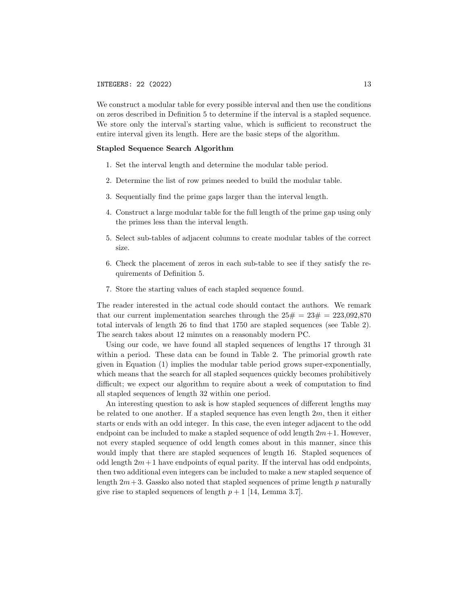We construct a modular table for every possible interval and then use the conditions on zeros described in Definition 5 to determine if the interval is a stapled sequence. We store only the interval's starting value, which is sufficient to reconstruct the entire interval given its length. Here are the basic steps of the algorithm.

## Stapled Sequence Search Algorithm

- 1. Set the interval length and determine the modular table period.
- 2. Determine the list of row primes needed to build the modular table.
- 3. Sequentially find the prime gaps larger than the interval length.
- 4. Construct a large modular table for the full length of the prime gap using only the primes less than the interval length.
- 5. Select sub-tables of adjacent columns to create modular tables of the correct size.
- 6. Check the placement of zeros in each sub-table to see if they satisfy the requirements of Definition 5.
- 7. Store the starting values of each stapled sequence found.

The reader interested in the actual code should contact the authors. We remark that our current implementation searches through the  $25\# = 23\# = 223.092.870$ total intervals of length 26 to find that 1750 are stapled sequences (see Table 2). The search takes about 12 minutes on a reasonably modern PC.

Using our code, we have found all stapled sequences of lengths 17 through 31 within a period. These data can be found in Table 2. The primorial growth rate given in Equation (1) implies the modular table period grows super-exponentially, which means that the search for all stapled sequences quickly becomes prohibitively difficult; we expect our algorithm to require about a week of computation to find all stapled sequences of length 32 within one period.

An interesting question to ask is how stapled sequences of different lengths may be related to one another. If a stapled sequence has even length  $2m$ , then it either starts or ends with an odd integer. In this case, the even integer adjacent to the odd endpoint can be included to make a stapled sequence of odd length  $2m+1$ . However, not every stapled sequence of odd length comes about in this manner, since this would imply that there are stapled sequences of length 16. Stapled sequences of odd length  $2m+1$  have endpoints of equal parity. If the interval has odd endpoints, then two additional even integers can be included to make a new stapled sequence of length  $2m+3$ . Gassko also noted that stapled sequences of prime length p naturally give rise to stapled sequences of length  $p + 1$  [14, Lemma 3.7].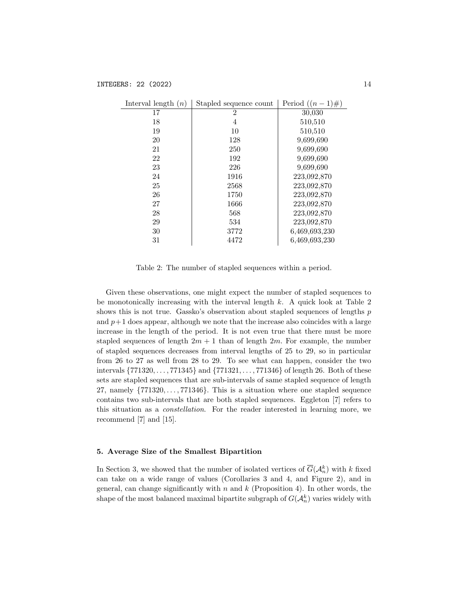| Interval length $(n)$ | Stapled sequence count | Period $((n-1)\#)$ |
|-----------------------|------------------------|--------------------|
| 17                    | 2                      | 30,030             |
| 18                    | 4                      | 510,510            |
| 19                    | 10                     | 510,510            |
| 20                    | 128                    | 9,699,690          |
| 21                    | 250                    | 9,699,690          |
| 22                    | 192                    | 9,699,690          |
| 23                    | 226                    | 9,699,690          |
| 24                    | 1916                   | 223,092,870        |
| 25                    | 2568                   | 223,092,870        |
| 26                    | 1750                   | 223,092,870        |
| 27                    | 1666                   | 223,092,870        |
| 28                    | 568                    | 223,092,870        |
| 29                    | 534                    | 223,092,870        |
| 30                    | 3772                   | 6,469,693,230      |
| 31                    | 4472                   | 6,469,693,230      |

Table 2: The number of stapled sequences within a period.

Given these observations, one might expect the number of stapled sequences to be monotonically increasing with the interval length  $k$ . A quick look at Table 2 shows this is not true. Gassko's observation about stapled sequences of lengths  $p$ and  $p+1$  does appear, although we note that the increase also coincides with a large increase in the length of the period. It is not even true that there must be more stapled sequences of length  $2m + 1$  than of length  $2m$ . For example, the number of stapled sequences decreases from interval lengths of 25 to 29, so in particular from 26 to 27 as well from 28 to 29. To see what can happen, consider the two intervals {771320, . . . , 771345} and {771321, . . . , 771346} of length 26. Both of these sets are stapled sequences that are sub-intervals of same stapled sequence of length 27, namely  $\{771320, \ldots, 771346\}$ . This is a situation where one stapled sequence contains two sub-intervals that are both stapled sequences. Eggleton [7] refers to this situation as a constellation. For the reader interested in learning more, we recommend [7] and [15].

## 5. Average Size of the Smallest Bipartition

In Section 3, we showed that the number of isolated vertices of  $\overline{G}(\mathcal{A}_n^k)$  with k fixed can take on a wide range of values (Corollaries 3 and 4, and Figure 2), and in general, can change significantly with  $n$  and  $k$  (Proposition 4). In other words, the shape of the most balanced maximal bipartite subgraph of  $G(A_n^k)$  varies widely with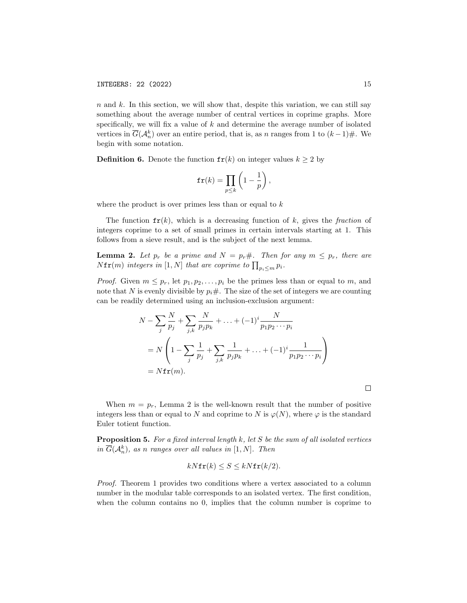$n$  and  $k$ . In this section, we will show that, despite this variation, we can still say something about the average number of central vertices in coprime graphs. More specifically, we will fix a value of  $k$  and determine the average number of isolated vertices in  $\overline{G}(\mathcal{A}_n^k)$  over an entire period, that is, as n ranges from 1 to  $(k-1)\#$ . We begin with some notation.

**Definition 6.** Denote the function  $f{r}(k)$  on integer values  $k \geq 2$  by

$$
\mathbf{fr}(k) = \prod_{p \leq k} \left( 1 - \frac{1}{p} \right),
$$

where the product is over primes less than or equal to  $k$ 

The function  $f(r)$ , which is a decreasing function of k, gives the fraction of integers coprime to a set of small primes in certain intervals starting at 1. This follows from a sieve result, and is the subject of the next lemma.

**Lemma 2.** Let  $p_r$  be a prime and  $N = p_r \#$ . Then for any  $m \leq p_r$ , there are  $N \texttt{fr}(m)$  integers in  $[1,N]$  that are coprime to  $\prod_{p_i \leq m} p_i$ .

*Proof.* Given  $m \leq p_r$ , let  $p_1, p_2, \ldots, p_i$  be the primes less than or equal to m, and note that N is evenly divisible by  $p_i \#$ . The size of the set of integers we are counting can be readily determined using an inclusion-exclusion argument:

$$
N - \sum_{j} \frac{N}{p_j} + \sum_{j,k} \frac{N}{p_j p_k} + \dots + (-1)^i \frac{N}{p_1 p_2 \cdots p_i}
$$
  
=  $N \left( 1 - \sum_{j} \frac{1}{p_j} + \sum_{j,k} \frac{1}{p_j p_k} + \dots + (-1)^i \frac{1}{p_1 p_2 \cdots p_i} \right)$   
=  $N \mathbf{f} \mathbf{r}(m)$ .

When  $m = p_r$ , Lemma 2 is the well-known result that the number of positive integers less than or equal to N and coprime to N is  $\varphi(N)$ , where  $\varphi$  is the standard Euler totient function.

**Proposition 5.** For a fixed interval length  $k$ , let  $S$  be the sum of all isolated vertices in  $\overline{G}(\mathcal{A}_n^k)$ , as n ranges over all values in  $[1,N]$ . Then

$$
kN\mathbf{fr}(k) \le S \le kN\mathbf{fr}(k/2).
$$

Proof. Theorem 1 provides two conditions where a vertex associated to a column number in the modular table corresponds to an isolated vertex. The first condition, when the column contains no 0, implies that the column number is coprime to

 $\Box$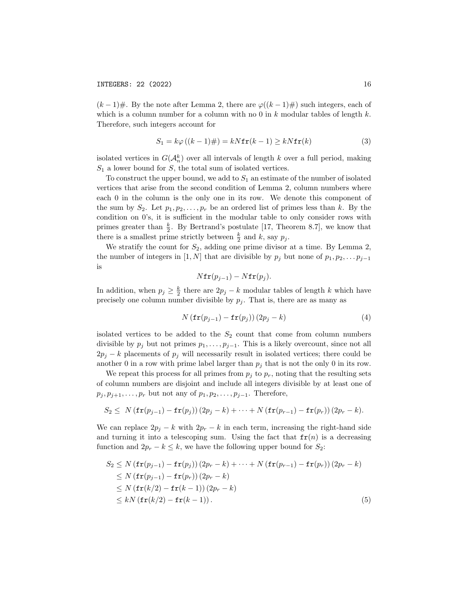$(k-1)\#$ . By the note after Lemma 2, there are  $\varphi((k-1)\#)$  such integers, each of which is a column number for a column with no 0 in  $k$  modular tables of length  $k$ . Therefore, such integers account for

$$
S_1 = k\varphi\left((k-1)\# \right) = kN\mathbf{fr}(k-1) \ge kN\mathbf{fr}(k)
$$
\n<sup>(3)</sup>

isolated vertices in  $G(A_n^k)$  over all intervals of length k over a full period, making  $S_1$  a lower bound for S, the total sum of isolated vertices.

To construct the upper bound, we add to  $S_1$  an estimate of the number of isolated vertices that arise from the second condition of Lemma 2, column numbers where each 0 in the column is the only one in its row. We denote this component of the sum by  $S_2$ . Let  $p_1, p_2, \ldots, p_r$  be an ordered list of primes less than k. By the condition on 0's, it is sufficient in the modular table to only consider rows with primes greater than  $\frac{k}{2}$ . By Bertrand's postulate [17, Theorem 8.7], we know that there is a smallest prime strictly between  $\frac{k}{2}$  and k, say  $p_j$ .

We stratify the count for  $S_2$ , adding one prime divisor at a time. By Lemma 2, the number of integers in [1, N] that are divisible by  $p_j$  but none of  $p_1, p_2, \ldots p_{j-1}$ is

$$
Nfr(p_{j-1}) - Nfr(p_j).
$$

In addition, when  $p_j \geq \frac{k}{2}$  there are  $2p_j - k$  modular tables of length k which have precisely one column number divisible by  $p_j$ . That is, there are as many as

$$
N\left(\mathbf{fr}(p_{j-1}) - \mathbf{fr}(p_j)\right)(2p_j - k) \tag{4}
$$

isolated vertices to be added to the  $S_2$  count that come from column numbers divisible by  $p_j$  but not primes  $p_1, \ldots, p_{j-1}$ . This is a likely overcount, since not all  $2p_j - k$  placements of  $p_j$  will necessarily result in isolated vertices; there could be another 0 in a row with prime label larger than  $p_j$  that is not the only 0 in its row.

We repeat this process for all primes from  $p_i$  to  $p_r$ , noting that the resulting sets of column numbers are disjoint and include all integers divisible by at least one of  $p_j, p_{j+1}, \ldots, p_r$  but not any of  $p_1, p_2, \ldots, p_{j-1}$ . Therefore,

$$
S_2 \leq N\left(\mathbf{fr}(p_{j-1}) - \mathbf{fr}(p_j)\right)(2p_j - k) + \cdots + N\left(\mathbf{fr}(p_{r-1}) - \mathbf{fr}(p_r)\right)(2p_r - k).
$$

We can replace  $2p_i - k$  with  $2p_r - k$  in each term, increasing the right-hand side and turning it into a telescoping sum. Using the fact that  $f(r(n))$  is a decreasing function and  $2p_r - k \leq k$ , we have the following upper bound for  $S_2$ :

$$
S_2 \le N \left( \mathbf{fr}(p_{j-1}) - \mathbf{fr}(p_j) \right) \left( 2p_r - k \right) + \dots + N \left( \mathbf{fr}(p_{r-1}) - \mathbf{fr}(p_r) \right) \left( 2p_r - k \right)
$$
  
\n
$$
\le N \left( \mathbf{fr}(p_{j-1}) - \mathbf{fr}(p_r) \right) \left( 2p_r - k \right)
$$
  
\n
$$
\le N \left( \mathbf{fr}(k/2) - \mathbf{fr}(k-1) \right) \left( 2p_r - k \right)
$$
  
\n
$$
\le kN \left( \mathbf{fr}(k/2) - \mathbf{fr}(k-1) \right). \tag{5}
$$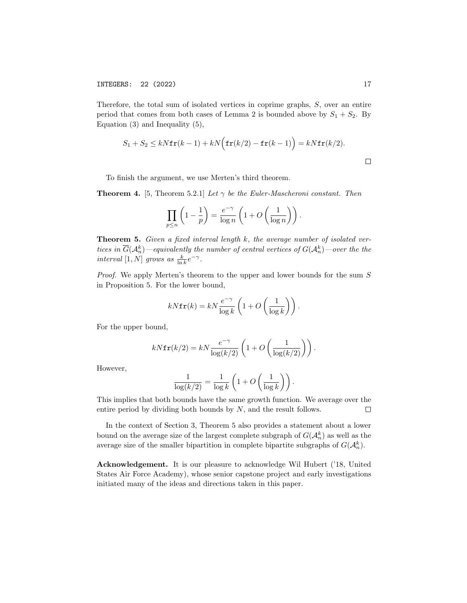INTEGERS: 22 (2022) 17

Therefore, the total sum of isolated vertices in coprime graphs, S, over an entire period that comes from both cases of Lemma 2 is bounded above by  $S_1 + S_2$ . By Equation (3) and Inequality (5),

$$
S_1 + S_2 \le kN \mathbf{fr}(k-1) + kN \Big(\mathbf{fr}(k/2) - \mathbf{fr}(k-1)\Big) = kN \mathbf{fr}(k/2).
$$

To finish the argument, we use Merten's third theorem.

**Theorem 4.** [5, Theorem 5.2.1] Let  $\gamma$  be the Euler-Mascheroni constant. Then

$$
\prod_{p\leq n}\left(1-\frac{1}{p}\right)=\frac{e^{-\gamma}}{\log n}\left(1+O\left(\frac{1}{\log n}\right)\right).
$$

**Theorem 5.** Given a fixed interval length  $k$ , the average number of isolated vertices in  $\overline{G}(\mathcal{A}_n^k)$ —equivalently the number of central vertices of  $G(\mathcal{A}_n^k)$ —over the the interval [1, N] grows as  $\frac{k}{\ln k}e^{-\gamma}$ .

Proof. We apply Merten's theorem to the upper and lower bounds for the sum S in Proposition 5. For the lower bound,

$$
kN\mathbf{fr}(k) = kN\frac{e^{-\gamma}}{\log k}\left(1 + O\left(\frac{1}{\log k}\right)\right).
$$

For the upper bound,

$$
kN\mathbf{fr}(k/2) = kN\frac{e^{-\gamma}}{\log(k/2)}\left(1 + O\left(\frac{1}{\log(k/2)}\right)\right).
$$

However,

$$
\frac{1}{\log(k/2)} = \frac{1}{\log k} \left( 1 + O\left(\frac{1}{\log k}\right) \right).
$$

This implies that both bounds have the same growth function. We average over the entire period by dividing both bounds by N, and the result follows.  $\Box$ 

In the context of Section 3, Theorem 5 also provides a statement about a lower bound on the average size of the largest complete subgraph of  $G(A_n^k)$  as well as the average size of the smaller bipartition in complete bipartite subgraphs of  $G(A_n^k)$ .

Acknowledgement. It is our pleasure to acknowledge Wil Hubert ('18, United States Air Force Academy), whose senior capstone project and early investigations initiated many of the ideas and directions taken in this paper.